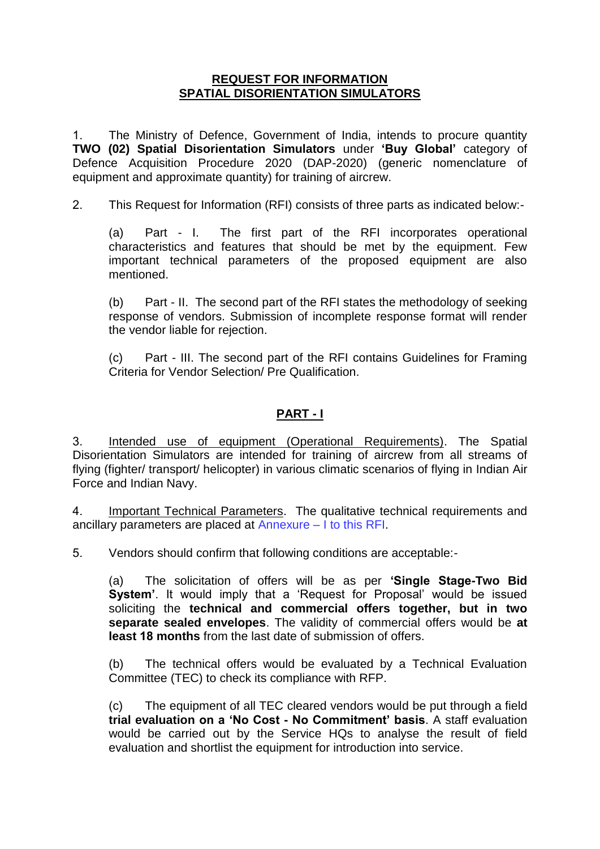### **REQUEST FOR INFORMATION SPATIAL DISORIENTATION SIMULATORS**

1. The Ministry of Defence, Government of India, intends to procure quantity **TWO (02) Spatial Disorientation Simulators** under **'Buy Global'** category of Defence Acquisition Procedure 2020 (DAP-2020) (generic nomenclature of equipment and approximate quantity) for training of aircrew.

2. This Request for Information (RFI) consists of three parts as indicated below:-

(a) Part - I. The first part of the RFI incorporates operational characteristics and features that should be met by the equipment. Few important technical parameters of the proposed equipment are also mentioned.

(b) Part - II. The second part of the RFI states the methodology of seeking response of vendors. Submission of incomplete response format will render the vendor liable for rejection.

(c) Part - III. The second part of the RFI contains Guidelines for Framing Criteria for Vendor Selection/ Pre Qualification.

### **PART - I**

3. Intended use of equipment (Operational Requirements). The Spatial Disorientation Simulators are intended for training of aircrew from all streams of flying (fighter/ transport/ helicopter) in various climatic scenarios of flying in Indian Air Force and Indian Navy.

4. Important Technical Parameters. The qualitative technical requirements and ancillary parameters are placed at Annexure – I to this RFI.

5. Vendors should confirm that following conditions are acceptable:-

(a) The solicitation of offers will be as per **'Single Stage-Two Bid System'**. It would imply that a "Request for Proposal" would be issued soliciting the **technical and commercial offers together, but in two separate sealed envelopes**. The validity of commercial offers would be **at least 18 months** from the last date of submission of offers.

(b) The technical offers would be evaluated by a Technical Evaluation Committee (TEC) to check its compliance with RFP.

(c) The equipment of all TEC cleared vendors would be put through a field **trial evaluation on a 'No Cost - No Commitment' basis**. A staff evaluation would be carried out by the Service HQs to analyse the result of field evaluation and shortlist the equipment for introduction into service.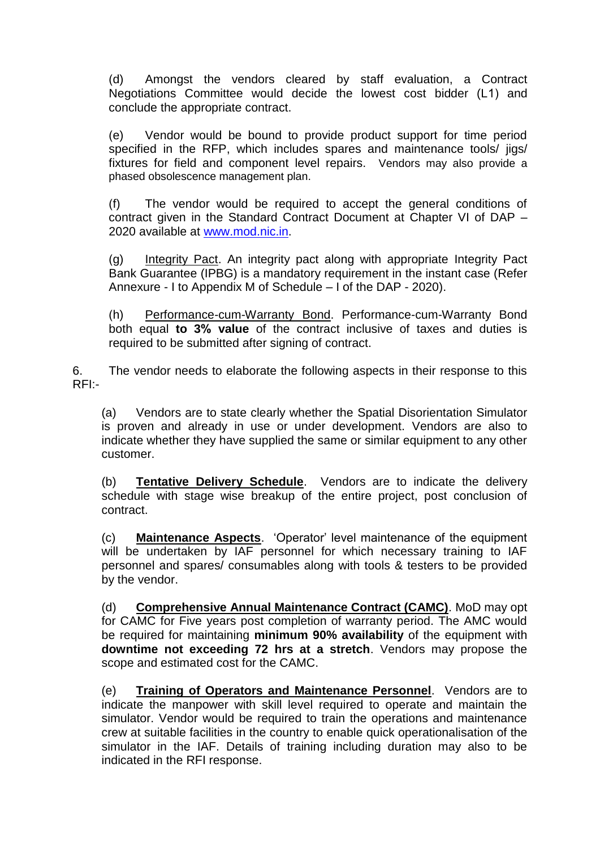(d) Amongst the vendors cleared by staff evaluation, a Contract Negotiations Committee would decide the lowest cost bidder (L1) and conclude the appropriate contract.

(e) Vendor would be bound to provide product support for time period specified in the RFP, which includes spares and maintenance tools/ jigs/ fixtures for field and component level repairs. Vendors may also provide a phased obsolescence management plan.

(f) The vendor would be required to accept the general conditions of contract given in the Standard Contract Document at Chapter VI of DAP – 2020 available at [www.mod.nic.in.](http://www.mod.nic.in/)

(g) Integrity Pact. An integrity pact along with appropriate Integrity Pact Bank Guarantee (IPBG) is a mandatory requirement in the instant case (Refer Annexure - I to Appendix M of Schedule – I of the DAP - 2020).

(h) Performance-cum-Warranty Bond. Performance-cum-Warranty Bond both equal **to 3% value** of the contract inclusive of taxes and duties is required to be submitted after signing of contract.

6. The vendor needs to elaborate the following aspects in their response to this RFI:-

(a) Vendors are to state clearly whether the Spatial Disorientation Simulator is proven and already in use or under development. Vendors are also to indicate whether they have supplied the same or similar equipment to any other customer.

(b) **Tentative Delivery Schedule**. Vendors are to indicate the delivery schedule with stage wise breakup of the entire project, post conclusion of contract.

(c) **Maintenance Aspects**. "Operator" level maintenance of the equipment will be undertaken by IAF personnel for which necessary training to IAF personnel and spares/ consumables along with tools & testers to be provided by the vendor.

(d) **Comprehensive Annual Maintenance Contract (CAMC)**. MoD may opt for CAMC for Five years post completion of warranty period. The AMC would be required for maintaining **minimum 90% availability** of the equipment with **downtime not exceeding 72 hrs at a stretch**. Vendors may propose the scope and estimated cost for the CAMC.

(e) **Training of Operators and Maintenance Personnel**.Vendors are to indicate the manpower with skill level required to operate and maintain the simulator. Vendor would be required to train the operations and maintenance crew at suitable facilities in the country to enable quick operationalisation of the simulator in the IAF. Details of training including duration may also to be indicated in the RFI response.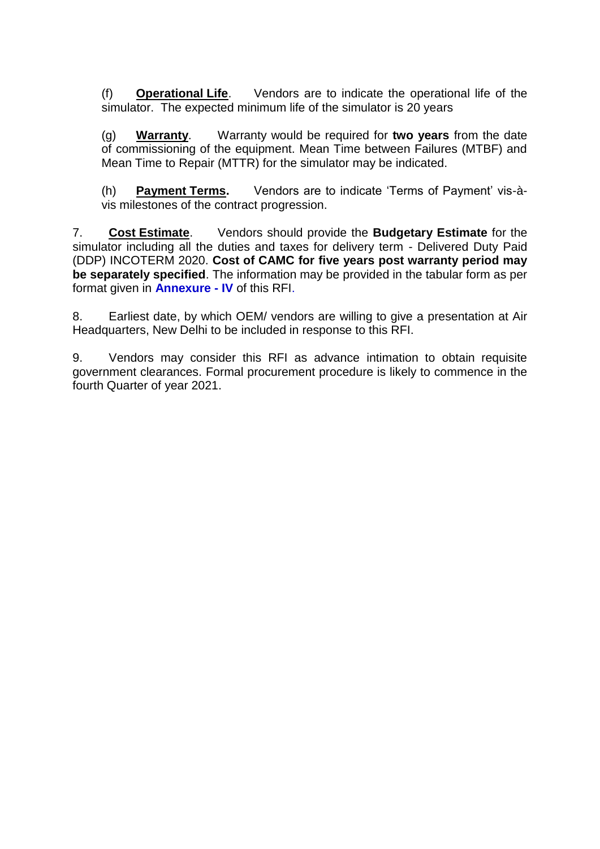(f) **Operational Life**. Vendors are to indicate the operational life of the simulator. The expected minimum life of the simulator is 20 years

(g) **Warranty**. Warranty would be required for **two years** from the date of commissioning of the equipment. Mean Time between Failures (MTBF) and Mean Time to Repair (MTTR) for the simulator may be indicated.

(h) **Payment Terms.** Vendors are to indicate "Terms of Payment" vis-àvis milestones of the contract progression.

7. **Cost Estimate**. Vendors should provide the **Budgetary Estimate** for the simulator including all the duties and taxes for delivery term - Delivered Duty Paid (DDP) INCOTERM 2020. **Cost of CAMC for five years post warranty period may be separately specified**. The information may be provided in the tabular form as per format given in **Annexure - IV** of this RFI.

8. Earliest date, by which OEM/ vendors are willing to give a presentation at Air Headquarters, New Delhi to be included in response to this RFI.

9. Vendors may consider this RFI as advance intimation to obtain requisite government clearances. Formal procurement procedure is likely to commence in the fourth Quarter of year 2021.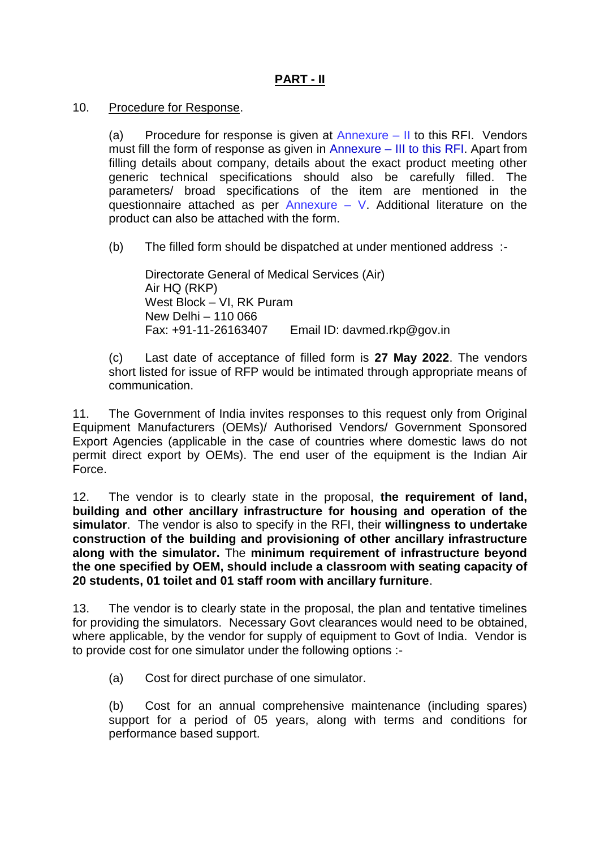# **PART - II**

### 10. Procedure for Response.

(a) Procedure for response is given at  $Annexure - II$  to this RFI. Vendors must fill the form of response as given in Annexure – III to this RFI. Apart from filling details about company, details about the exact product meeting other generic technical specifications should also be carefully filled. The parameters/ broad specifications of the item are mentioned in the questionnaire attached as per Annexure – V. Additional literature on the product can also be attached with the form.

(b) The filled form should be dispatched at under mentioned address :-

Directorate General of Medical Services (Air) Air HQ (RKP) West Block – VI, RK Puram New Delhi – 110 066 Fax: +91-11-26163407 Email ID: davmed.rkp@gov.in

(c) Last date of acceptance of filled form is **27 May 2022**. The vendors short listed for issue of RFP would be intimated through appropriate means of communication.

11. The Government of India invites responses to this request only from Original Equipment Manufacturers (OEMs)/ Authorised Vendors/ Government Sponsored Export Agencies (applicable in the case of countries where domestic laws do not permit direct export by OEMs). The end user of the equipment is the Indian Air Force.

12. The vendor is to clearly state in the proposal, **the requirement of land, building and other ancillary infrastructure for housing and operation of the simulator**. The vendor is also to specify in the RFI, their **willingness to undertake construction of the building and provisioning of other ancillary infrastructure along with the simulator.** The **minimum requirement of infrastructure beyond the one specified by OEM, should include a classroom with seating capacity of 20 students, 01 toilet and 01 staff room with ancillary furniture**.

13. The vendor is to clearly state in the proposal, the plan and tentative timelines for providing the simulators. Necessary Govt clearances would need to be obtained, where applicable, by the vendor for supply of equipment to Govt of India. Vendor is to provide cost for one simulator under the following options :-

(a) Cost for direct purchase of one simulator.

(b) Cost for an annual comprehensive maintenance (including spares) support for a period of 05 years, along with terms and conditions for performance based support.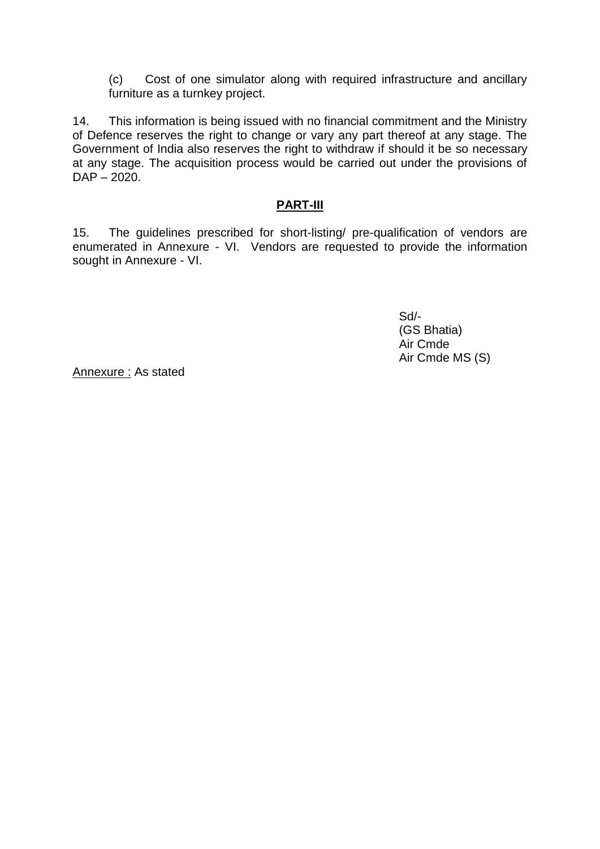(c) Cost of one simulator along with required infrastructure and ancillary furniture as a turnkey project.

14. This information is being issued with no financial commitment and the Ministry of Defence reserves the right to change or vary any part thereof at any stage. The Government of India also reserves the right to withdraw if should it be so necessary at any stage. The acquisition process would be carried out under the provisions of DAP – 2020.

## **PART-III**

15. The guidelines prescribed for short-listing/ pre-qualification of vendors are enumerated in Annexure - VI. Vendors are requested to provide the information sought in Annexure - VI.

> Sd/- (GS Bhatia) Air Cmde Air Cmde MS (S)

Annexure : As stated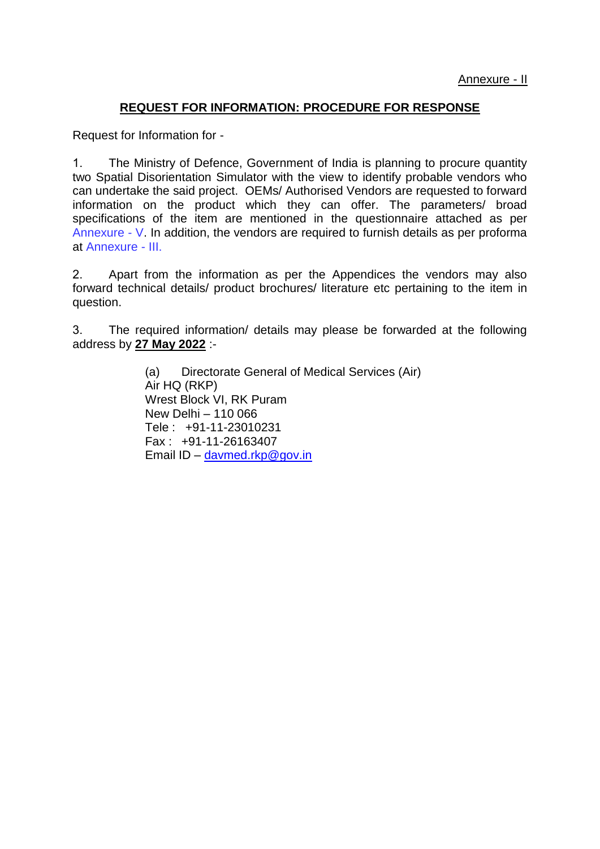### **REQUEST FOR INFORMATION: PROCEDURE FOR RESPONSE**

Request for Information for -

1. The Ministry of Defence, Government of India is planning to procure quantity two Spatial Disorientation Simulator with the view to identify probable vendors who can undertake the said project. OEMs/ Authorised Vendors are requested to forward information on the product which they can offer. The parameters/ broad specifications of the item are mentioned in the questionnaire attached as per Annexure - V. In addition, the vendors are required to furnish details as per proforma at Annexure - III.

2. Apart from the information as per the Appendices the vendors may also forward technical details/ product brochures/ literature etc pertaining to the item in question.

3. The required information/ details may please be forwarded at the following address by **27 May 2022** :-

> (a) Directorate General of Medical Services (Air) Air HQ (RKP) Wrest Block VI, RK Puram New Delhi – 110 066 Tele : +91-11-23010231 Fax : +91-11-26163407 Email ID – [davmed.rkp@gov.in](mailto:davmed.rkp@gov.in)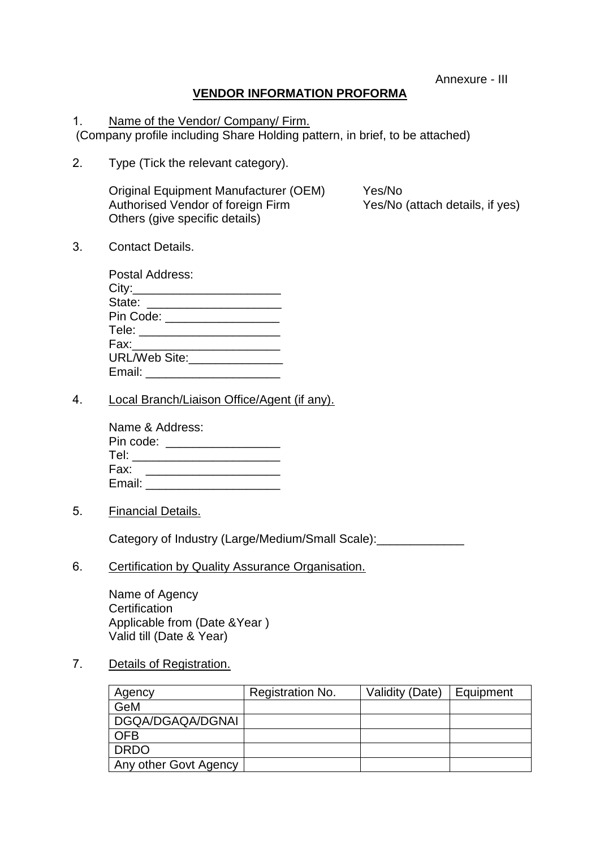Annexure - III

# **VENDOR INFORMATION PROFORMA**

1. Name of the Vendor/ Company/ Firm. (Company profile including Share Holding pattern, in brief, to be attached)

2. Type (Tick the relevant category).

Original Equipment Manufacturer (OEM) Yes/No Authorised Vendor of foreign Firm Yes/No (attach details, if yes) Others (give specific details)

3. Contact Details.

| Postal Address:                                                                                                |  |
|----------------------------------------------------------------------------------------------------------------|--|
| City:__________________                                                                                        |  |
| State: ______________________                                                                                  |  |
| Pin Code: __________________                                                                                   |  |
| Tele: ________________                                                                                         |  |
| Fax:________________                                                                                           |  |
| URL/Web Site: Value of the Site of the Site of the Site of the Site of the Site of the Site of the Site of the |  |
| Email: _______________                                                                                         |  |

4. Local Branch/Liaison Office/Agent (if any).

| Name & Address:       |  |
|-----------------------|--|
| Pin code: <b>Alla</b> |  |
|                       |  |
| Fax:                  |  |
| Email:                |  |

5. Financial Details.

Category of Industry (Large/Medium/Small Scale):

6. Certification by Quality Assurance Organisation.

Name of Agency **Certification** Applicable from (Date &Year ) Valid till (Date & Year)

#### 7. Details of Registration.

| Agency                | Registration No. | Validity (Date) | Equipment |
|-----------------------|------------------|-----------------|-----------|
| GeM                   |                  |                 |           |
| DGQA/DGAQA/DGNAI      |                  |                 |           |
| <b>OFB</b>            |                  |                 |           |
| <b>DRDO</b>           |                  |                 |           |
| Any other Govt Agency |                  |                 |           |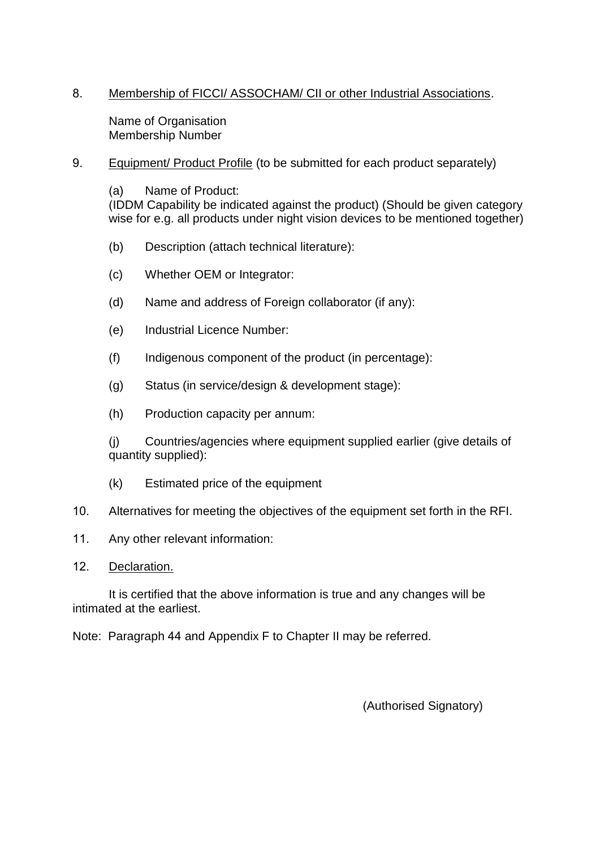## 8. Membership of FICCI/ ASSOCHAM/ CII or other Industrial Associations.

Name of Organisation Membership Number

9. Equipment/ Product Profile (to be submitted for each product separately)

(a) Name of Product: (IDDM Capability be indicated against the product) (Should be given category wise for e.g. all products under night vision devices to be mentioned together)

- (b) Description (attach technical literature):
- (c) Whether OEM or Integrator:
- (d) Name and address of Foreign collaborator (if any):
- (e) Industrial Licence Number:
- (f) Indigenous component of the product (in percentage):
- (g) Status (in service/design & development stage):
- (h) Production capacity per annum:

(j) Countries/agencies where equipment supplied earlier (give details of quantity supplied):

- (k) Estimated price of the equipment
- 10. Alternatives for meeting the objectives of the equipment set forth in the RFI.
- 11. Any other relevant information:
- 12. Declaration.

It is certified that the above information is true and any changes will be intimated at the earliest.

Note: Paragraph 44 and Appendix F to Chapter II may be referred.

(Authorised Signatory)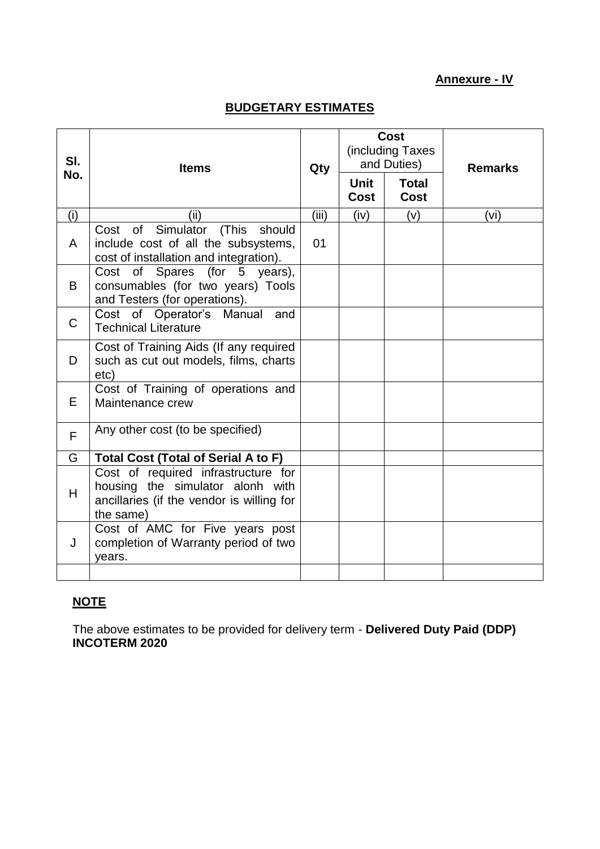## **Annexure - IV**

# **BUDGETARY ESTIMATES**

| SI.<br>No. | <b>Items</b>                                                                                                                      | Qty   | <b>Unit</b> | <b>Cost</b><br>(including Taxes<br>and Duties)<br><b>Total</b> | <b>Remarks</b> |
|------------|-----------------------------------------------------------------------------------------------------------------------------------|-------|-------------|----------------------------------------------------------------|----------------|
|            |                                                                                                                                   |       | Cost        | Cost                                                           |                |
| (i)        | (ii)                                                                                                                              | (iii) | (iv)        | (v)                                                            | (vi)           |
| A          | Cost of Simulator (This should<br>include cost of all the subsystems,<br>cost of installation and integration).                   | 01    |             |                                                                |                |
| B          | Cost of Spares (for 5<br>years),<br>consumables (for two years) Tools<br>and Testers (for operations).                            |       |             |                                                                |                |
| C          | Cost of Operator's Manual and<br><b>Technical Literature</b>                                                                      |       |             |                                                                |                |
| D          | Cost of Training Aids (If any required<br>such as cut out models, films, charts<br>etc)                                           |       |             |                                                                |                |
| Е          | Cost of Training of operations and<br>Maintenance crew                                                                            |       |             |                                                                |                |
| F          | Any other cost (to be specified)                                                                                                  |       |             |                                                                |                |
| G          | <b>Total Cost (Total of Serial A to F)</b>                                                                                        |       |             |                                                                |                |
| H          | Cost of required infrastructure for<br>housing the simulator alonh with<br>ancillaries (if the vendor is willing for<br>the same) |       |             |                                                                |                |
| J          | Cost of AMC for Five years post<br>completion of Warranty period of two<br>years.                                                 |       |             |                                                                |                |
|            |                                                                                                                                   |       |             |                                                                |                |

# **NOTE**

The above estimates to be provided for delivery term - **Delivered Duty Paid (DDP) INCOTERM 2020**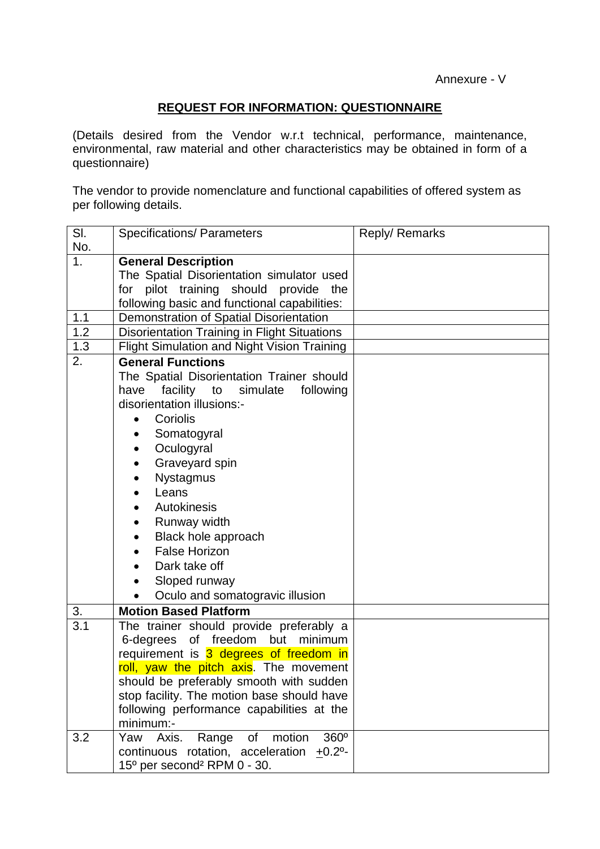## **REQUEST FOR INFORMATION: QUESTIONNAIRE**

(Details desired from the Vendor w.r.t technical, performance, maintenance, environmental, raw material and other characteristics may be obtained in form of a questionnaire)

The vendor to provide nomenclature and functional capabilities of offered system as per following details.

| SI.              | <b>Specifications/ Parameters</b>                     | Reply/ Remarks |
|------------------|-------------------------------------------------------|----------------|
| No.              |                                                       |                |
| 1 <sub>1</sub>   | <b>General Description</b>                            |                |
|                  | The Spatial Disorientation simulator used             |                |
|                  | for pilot training should provide the                 |                |
|                  | following basic and functional capabilities:          |                |
| 1.1<br>1.2       | Demonstration of Spatial Disorientation               |                |
|                  | Disorientation Training in Flight Situations          |                |
| 1.3              | Flight Simulation and Night Vision Training           |                |
| 2.               | <b>General Functions</b>                              |                |
|                  | The Spatial Disorientation Trainer should             |                |
|                  | facility to simulate following<br>have                |                |
|                  | disorientation illusions:-                            |                |
|                  | Coriolis                                              |                |
|                  | Somatogyral                                           |                |
|                  | Oculogyral                                            |                |
|                  | Graveyard spin                                        |                |
|                  | <b>Nystagmus</b>                                      |                |
|                  | Leans                                                 |                |
|                  | Autokinesis                                           |                |
|                  | Runway width                                          |                |
|                  | Black hole approach                                   |                |
|                  | <b>False Horizon</b>                                  |                |
|                  | Dark take off                                         |                |
|                  | Sloped runway                                         |                |
|                  | Oculo and somatogravic illusion                       |                |
| 3.               | <b>Motion Based Platform</b>                          |                |
| $\overline{3.1}$ | The trainer should provide preferably a               |                |
|                  | 6-degrees of freedom but minimum                      |                |
|                  | requirement is 3 degrees of freedom in                |                |
|                  | roll, yaw the pitch axis. The movement                |                |
|                  | should be preferably smooth with sudden               |                |
|                  | stop facility. The motion base should have            |                |
|                  | following performance capabilities at the             |                |
|                  | minimum:-                                             |                |
| 3.2              | 360°<br>Range<br>motion<br>Yaw<br>Axis.<br>of         |                |
|                  | continuous rotation, acceleration<br>$+0.2^{\circ}$ - |                |
|                  | 15° per second <sup>2</sup> RPM 0 - 30.               |                |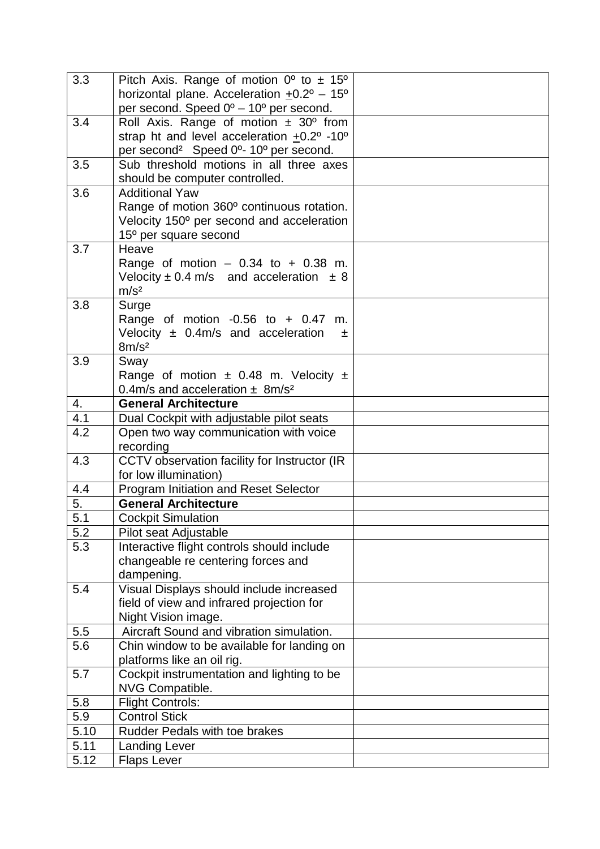| 3.3        | Pitch Axis. Range of motion $0^{\circ}$ to $\pm$ 15°                       |  |
|------------|----------------------------------------------------------------------------|--|
|            | horizontal plane. Acceleration $\pm 0.2^{\circ}$ – 15°                     |  |
|            | per second. Speed $0^{\circ}$ – 10° per second.                            |  |
| 3.4        | Roll Axis. Range of motion $\pm$ 30° from                                  |  |
|            | strap ht and level acceleration +0.2° -10°                                 |  |
|            | per second <sup>2</sup> Speed 0 <sup>o</sup> - 10 <sup>o</sup> per second. |  |
| 3.5        | Sub threshold motions in all three axes                                    |  |
|            | should be computer controlled.                                             |  |
| 3.6        | <b>Additional Yaw</b>                                                      |  |
|            | Range of motion 360° continuous rotation.                                  |  |
|            | Velocity 150° per second and acceleration                                  |  |
|            | 15° per square second                                                      |  |
| 3.7        | Heave                                                                      |  |
|            | Range of motion $-0.34$ to $+0.38$ m.                                      |  |
|            | Velocity $\pm$ 0.4 m/s and acceleration $\pm$ 8                            |  |
|            | m/s <sup>2</sup>                                                           |  |
| 3.8        | Surge                                                                      |  |
|            | Range of motion $-0.56$ to $+0.47$ m.                                      |  |
|            | Velocity $\pm$ 0.4m/s and acceleration<br>土                                |  |
|            | 8m/s <sup>2</sup>                                                          |  |
| 3.9        | Sway                                                                       |  |
|            | Range of motion $\pm$ 0.48 m. Velocity $\pm$                               |  |
|            | 0.4m/s and acceleration $\pm$ 8m/s <sup>2</sup>                            |  |
| 4.         | <b>General Architecture</b>                                                |  |
| 4.1<br>4.2 | Dual Cockpit with adjustable pilot seats                                   |  |
|            | Open two way communication with voice<br>recording                         |  |
| 4.3        | CCTV observation facility for Instructor (IR                               |  |
|            | for low illumination)                                                      |  |
| 4.4        | Program Initiation and Reset Selector                                      |  |
| 5.         | <b>General Architecture</b>                                                |  |
| 5.1        | <b>Cockpit Simulation</b>                                                  |  |
| 5.2        | Pilot seat Adjustable                                                      |  |
| 5.3        | Interactive flight controls should include                                 |  |
|            | changeable re centering forces and                                         |  |
|            | dampening.                                                                 |  |
| 5.4        | Visual Displays should include increased                                   |  |
|            | field of view and infrared projection for                                  |  |
|            | Night Vision image.                                                        |  |
| 5.5        | Aircraft Sound and vibration simulation.                                   |  |
| 5.6        | Chin window to be available for landing on                                 |  |
|            | platforms like an oil rig.                                                 |  |
| 5.7        | Cockpit instrumentation and lighting to be                                 |  |
|            | <b>NVG Compatible.</b>                                                     |  |
| 5.8        | <b>Flight Controls:</b>                                                    |  |
| 5.9        | <b>Control Stick</b>                                                       |  |
| 5.10       | <b>Rudder Pedals with toe brakes</b>                                       |  |
| 5.11       | <b>Landing Lever</b>                                                       |  |
| 5.12       | <b>Flaps Lever</b>                                                         |  |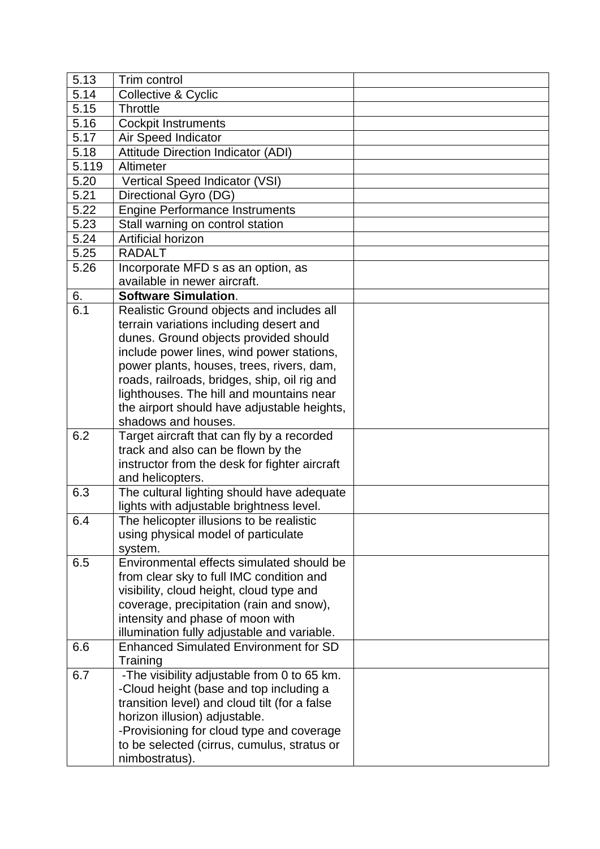| 5.13  | Trim control                                                      |  |
|-------|-------------------------------------------------------------------|--|
| 5.14  | Collective & Cyclic                                               |  |
| 5.15  | <b>Throttle</b>                                                   |  |
| 5.16  | <b>Cockpit Instruments</b>                                        |  |
| 5.17  | Air Speed Indicator                                               |  |
| 5.18  | <b>Attitude Direction Indicator (ADI)</b>                         |  |
| 5.119 | Altimeter                                                         |  |
| 5.20  | Vertical Speed Indicator (VSI)                                    |  |
| 5.21  | Directional Gyro (DG)                                             |  |
| 5.22  | <b>Engine Performance Instruments</b>                             |  |
| 5.23  | Stall warning on control station                                  |  |
| 5.24  | Artificial horizon                                                |  |
| 5.25  | <b>RADALT</b>                                                     |  |
| 5.26  | Incorporate MFD s as an option, as                                |  |
|       | available in newer aircraft.                                      |  |
| 6.    | <b>Software Simulation.</b>                                       |  |
| 6.1   | Realistic Ground objects and includes all                         |  |
|       | terrain variations including desert and                           |  |
|       | dunes. Ground objects provided should                             |  |
|       | include power lines, wind power stations,                         |  |
|       | power plants, houses, trees, rivers, dam,                         |  |
|       | roads, railroads, bridges, ship, oil rig and                      |  |
|       | lighthouses. The hill and mountains near                          |  |
|       | the airport should have adjustable heights,                       |  |
|       | shadows and houses.                                               |  |
| 6.2   | Target aircraft that can fly by a recorded                        |  |
|       | track and also can be flown by the                                |  |
|       | instructor from the desk for fighter aircraft<br>and helicopters. |  |
| 6.3   | The cultural lighting should have adequate                        |  |
|       | lights with adjustable brightness level.                          |  |
| 6.4   | The helicopter illusions to be realistic                          |  |
|       | using physical model of particulate                               |  |
|       | system.                                                           |  |
| 6.5   | Environmental effects simulated should be                         |  |
|       | from clear sky to full IMC condition and                          |  |
|       | visibility, cloud height, cloud type and                          |  |
|       | coverage, precipitation (rain and snow),                          |  |
|       | intensity and phase of moon with                                  |  |
|       | illumination fully adjustable and variable.                       |  |
| 6.6   | <b>Enhanced Simulated Environment for SD</b>                      |  |
|       | Training                                                          |  |
| 6.7   | -The visibility adjustable from 0 to 65 km.                       |  |
|       | -Cloud height (base and top including a                           |  |
|       | transition level) and cloud tilt (for a false                     |  |
|       | horizon illusion) adjustable.                                     |  |
|       | -Provisioning for cloud type and coverage                         |  |
|       | to be selected (cirrus, cumulus, stratus or                       |  |
|       | nimbostratus).                                                    |  |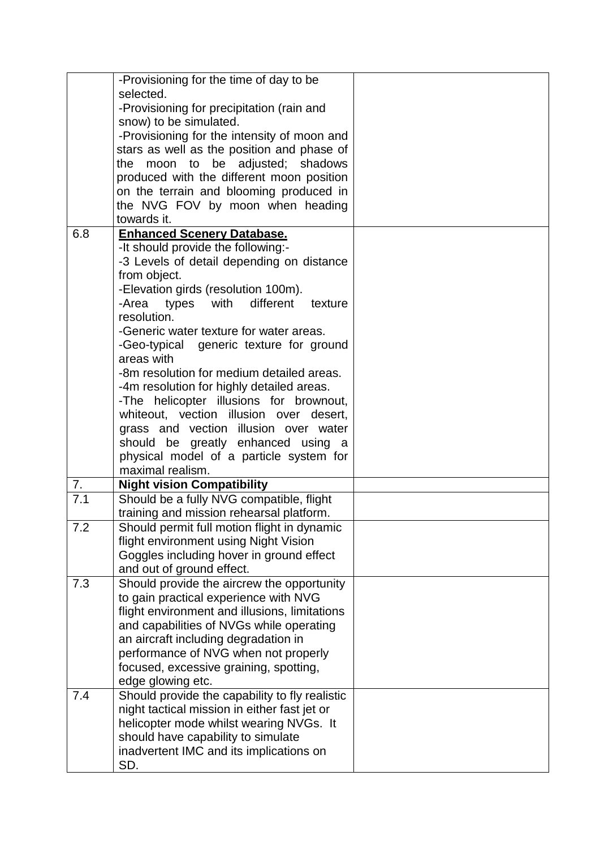|     | -Provisioning for the time of day to be        |  |
|-----|------------------------------------------------|--|
|     | selected.                                      |  |
|     | -Provisioning for precipitation (rain and      |  |
|     | snow) to be simulated.                         |  |
|     | -Provisioning for the intensity of moon and    |  |
|     | stars as well as the position and phase of     |  |
|     | the moon to be adjusted; shadows               |  |
|     | produced with the different moon position      |  |
|     | on the terrain and blooming produced in        |  |
|     | the NVG FOV by moon when heading               |  |
|     | towards it.                                    |  |
| 6.8 | <b>Enhanced Scenery Database.</b>              |  |
|     | -It should provide the following:-             |  |
|     | -3 Levels of detail depending on distance      |  |
|     | from object.                                   |  |
|     | -Elevation girds (resolution 100m).            |  |
|     | -Area types with<br>different<br>texture       |  |
|     | resolution.                                    |  |
|     | -Generic water texture for water areas.        |  |
|     | -Geo-typical generic texture for ground        |  |
|     | areas with                                     |  |
|     | -8m resolution for medium detailed areas.      |  |
|     | -4m resolution for highly detailed areas.      |  |
|     | -The helicopter illusions for brownout,        |  |
|     | whiteout, vection illusion over desert,        |  |
|     | grass and vection illusion over water          |  |
|     | should be greatly enhanced using a             |  |
|     | physical model of a particle system for        |  |
|     | maximal realism.                               |  |
| 7.  | <b>Night vision Compatibility</b>              |  |
| 7.1 | Should be a fully NVG compatible, flight       |  |
|     | training and mission rehearsal platform.       |  |
| 7.2 | Should permit full motion flight in dynamic    |  |
|     | flight environment using Night Vision          |  |
|     | Goggles including hover in ground effect       |  |
|     | and out of ground effect.                      |  |
| 7.3 | Should provide the aircrew the opportunity     |  |
|     | to gain practical experience with NVG          |  |
|     | flight environment and illusions, limitations  |  |
|     | and capabilities of NVGs while operating       |  |
|     | an aircraft including degradation in           |  |
|     | performance of NVG when not properly           |  |
|     | focused, excessive graining, spotting,         |  |
|     | edge glowing etc.                              |  |
| 7.4 | Should provide the capability to fly realistic |  |
|     | night tactical mission in either fast jet or   |  |
|     | helicopter mode whilst wearing NVGs. It        |  |
|     | should have capability to simulate             |  |
|     | inadvertent IMC and its implications on        |  |
|     | SD.                                            |  |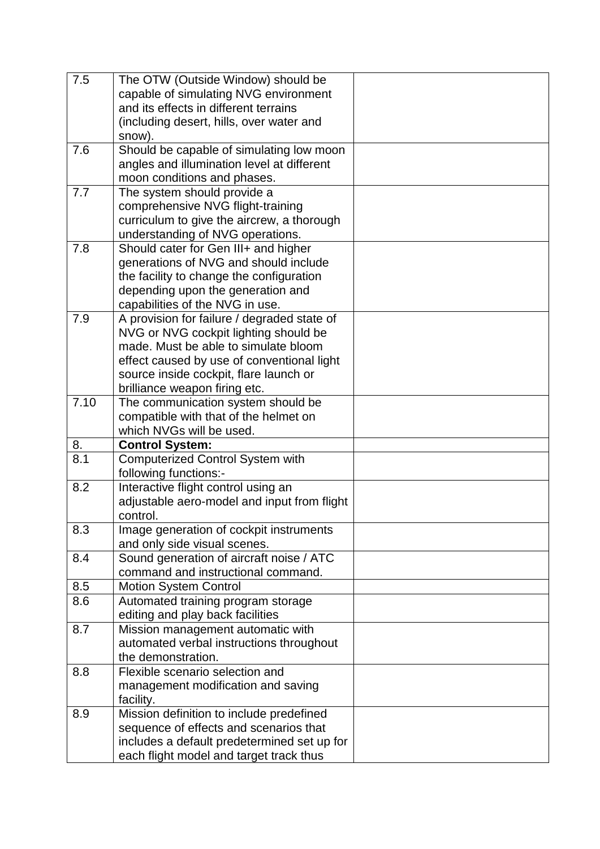| 7.5  | The OTW (Outside Window) should be                                       |  |
|------|--------------------------------------------------------------------------|--|
|      | capable of simulating NVG environment                                    |  |
|      | and its effects in different terrains                                    |  |
|      | (including desert, hills, over water and                                 |  |
|      | snow).                                                                   |  |
| 7.6  | Should be capable of simulating low moon                                 |  |
|      | angles and illumination level at different                               |  |
|      | moon conditions and phases.                                              |  |
| 7.7  | The system should provide a                                              |  |
|      | comprehensive NVG flight-training                                        |  |
|      | curriculum to give the aircrew, a thorough                               |  |
|      | understanding of NVG operations.                                         |  |
| 7.8  | Should cater for Gen III+ and higher                                     |  |
|      | generations of NVG and should include                                    |  |
|      | the facility to change the configuration                                 |  |
|      | depending upon the generation and                                        |  |
|      | capabilities of the NVG in use.                                          |  |
| 7.9  | A provision for failure / degraded state of                              |  |
|      | NVG or NVG cockpit lighting should be                                    |  |
|      | made. Must be able to simulate bloom                                     |  |
|      | effect caused by use of conventional light                               |  |
|      | source inside cockpit, flare launch or                                   |  |
|      | brilliance weapon firing etc.                                            |  |
| 7.10 | The communication system should be                                       |  |
|      | compatible with that of the helmet on                                    |  |
|      | which NVGs will be used.                                                 |  |
| 8.   | <b>Control System:</b>                                                   |  |
| 8.1  | <b>Computerized Control System with</b>                                  |  |
|      | following functions:-                                                    |  |
| 8.2  | Interactive flight control using an                                      |  |
|      | adjustable aero-model and input from flight                              |  |
|      | control.                                                                 |  |
| 8.3  | Image generation of cockpit instruments                                  |  |
|      | and only side visual scenes.<br>Sound generation of aircraft noise / ATC |  |
| 8.4  | command and instructional command.                                       |  |
| 8.5  | <b>Motion System Control</b>                                             |  |
| 8.6  | Automated training program storage                                       |  |
|      | editing and play back facilities                                         |  |
| 8.7  | Mission management automatic with                                        |  |
|      | automated verbal instructions throughout                                 |  |
|      | the demonstration.                                                       |  |
| 8.8  | Flexible scenario selection and                                          |  |
|      | management modification and saving                                       |  |
|      | facility.                                                                |  |
| 8.9  | Mission definition to include predefined                                 |  |
|      | sequence of effects and scenarios that                                   |  |
|      | includes a default predetermined set up for                              |  |
|      |                                                                          |  |
|      | each flight model and target track thus                                  |  |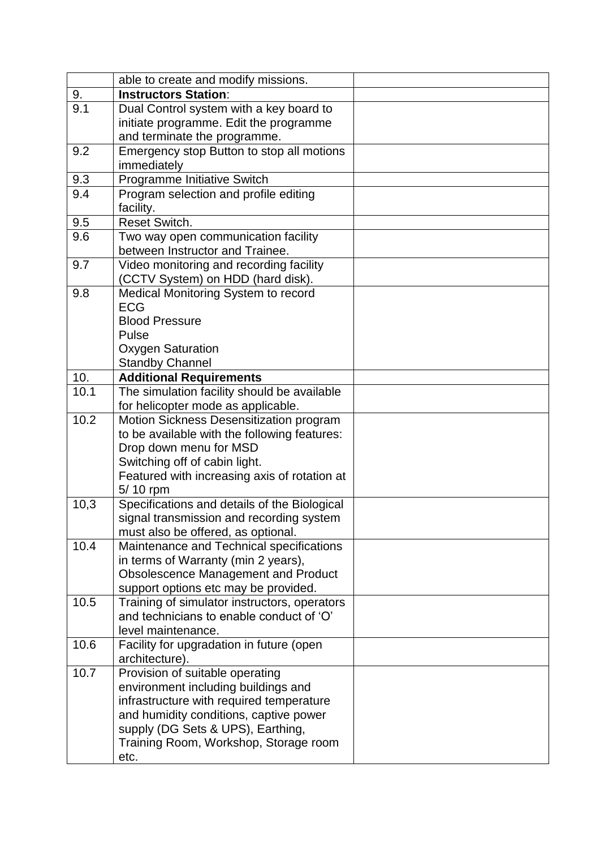|      | able to create and modify missions.                                               |  |
|------|-----------------------------------------------------------------------------------|--|
| 9.   | <b>Instructors Station:</b>                                                       |  |
| 9.1  | Dual Control system with a key board to                                           |  |
|      | initiate programme. Edit the programme                                            |  |
|      | and terminate the programme.                                                      |  |
| 9.2  | Emergency stop Button to stop all motions                                         |  |
|      | immediately                                                                       |  |
| 9.3  | Programme Initiative Switch                                                       |  |
| 9.4  | Program selection and profile editing                                             |  |
|      | facility.                                                                         |  |
| 9.5  | Reset Switch.                                                                     |  |
| 9.6  | Two way open communication facility                                               |  |
|      | between Instructor and Trainee.                                                   |  |
| 9.7  | Video monitoring and recording facility                                           |  |
|      | (CCTV System) on HDD (hard disk).                                                 |  |
| 9.8  | Medical Monitoring System to record                                               |  |
|      | <b>ECG</b>                                                                        |  |
|      | <b>Blood Pressure</b>                                                             |  |
|      | Pulse                                                                             |  |
|      | <b>Oxygen Saturation</b>                                                          |  |
| 10.  | <b>Standby Channel</b>                                                            |  |
| 10.1 | <b>Additional Requirements</b>                                                    |  |
|      | The simulation facility should be available<br>for helicopter mode as applicable. |  |
| 10.2 | Motion Sickness Desensitization program                                           |  |
|      | to be available with the following features:                                      |  |
|      | Drop down menu for MSD                                                            |  |
|      | Switching off of cabin light.                                                     |  |
|      | Featured with increasing axis of rotation at                                      |  |
|      | 5/10 rpm                                                                          |  |
| 10,3 | Specifications and details of the Biological                                      |  |
|      | signal transmission and recording system                                          |  |
|      | must also be offered, as optional.                                                |  |
| 10.4 | Maintenance and Technical specifications                                          |  |
|      | in terms of Warranty (min 2 years),                                               |  |
|      | <b>Obsolescence Management and Product</b>                                        |  |
|      | support options etc may be provided.                                              |  |
| 10.5 | Training of simulator instructors, operators                                      |  |
|      | and technicians to enable conduct of 'O'                                          |  |
|      | level maintenance.                                                                |  |
| 10.6 | Facility for upgradation in future (open                                          |  |
|      | architecture).                                                                    |  |
| 10.7 | Provision of suitable operating                                                   |  |
|      | environment including buildings and                                               |  |
|      | infrastructure with required temperature                                          |  |
|      | and humidity conditions, captive power                                            |  |
|      | supply (DG Sets & UPS), Earthing,                                                 |  |
|      | Training Room, Workshop, Storage room                                             |  |
|      | etc.                                                                              |  |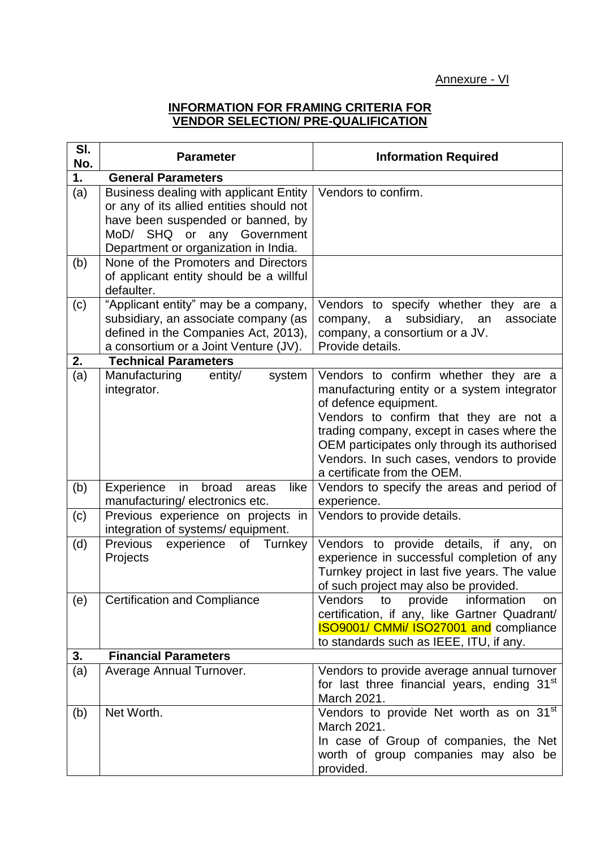#### **INFORMATION FOR FRAMING CRITERIA FOR VENDOR SELECTION/ PRE-QUALIFICATION**

| SI.<br>No. | <b>Parameter</b>                                                                                                                                                                                     | <b>Information Required</b>                                                                                                                                                                                                                                                                                                        |
|------------|------------------------------------------------------------------------------------------------------------------------------------------------------------------------------------------------------|------------------------------------------------------------------------------------------------------------------------------------------------------------------------------------------------------------------------------------------------------------------------------------------------------------------------------------|
| 1.         | <b>General Parameters</b>                                                                                                                                                                            |                                                                                                                                                                                                                                                                                                                                    |
| (a)        | <b>Business dealing with applicant Entity</b><br>or any of its allied entities should not<br>have been suspended or banned, by<br>MoD/ SHQ or any Government<br>Department or organization in India. | Vendors to confirm.                                                                                                                                                                                                                                                                                                                |
| (b)        | None of the Promoters and Directors<br>of applicant entity should be a willful<br>defaulter.                                                                                                         |                                                                                                                                                                                                                                                                                                                                    |
| (c)        | "Applicant entity" may be a company,<br>subsidiary, an associate company (as<br>defined in the Companies Act, 2013),<br>a consortium or a Joint Venture (JV).                                        | Vendors to specify whether they are a<br>subsidiary,<br>company,<br>a<br>an<br>associate<br>company, a consortium or a JV.<br>Provide details.                                                                                                                                                                                     |
| 2.         | <b>Technical Parameters</b>                                                                                                                                                                          |                                                                                                                                                                                                                                                                                                                                    |
| (a)        | Manufacturing<br>entity/<br>system<br>integrator.                                                                                                                                                    | Vendors to confirm whether they are a<br>manufacturing entity or a system integrator<br>of defence equipment.<br>Vendors to confirm that they are not a<br>trading company, except in cases where the<br>OEM participates only through its authorised<br>Vendors. In such cases, vendors to provide<br>a certificate from the OEM. |
| (b)        | Experience<br>in<br>like<br>broad<br>areas<br>manufacturing/electronics etc.                                                                                                                         | Vendors to specify the areas and period of<br>experience.                                                                                                                                                                                                                                                                          |
| (c)        | Previous experience on projects in<br>integration of systems/ equipment.                                                                                                                             | Vendors to provide details.                                                                                                                                                                                                                                                                                                        |
| (d)        | Previous<br>experience<br>of<br>Turnkey<br>Projects                                                                                                                                                  | Vendors to provide details, if any, on<br>experience in successful completion of any<br>Turnkey project in last five years. The value<br>of such project may also be provided.                                                                                                                                                     |
| (e)        | <b>Certification and Compliance</b>                                                                                                                                                                  | Vendors to<br>provide<br>information<br>on.<br>certification, if any, like Gartner Quadrant/<br>ISO9001/ CMMi/ ISO27001 and compliance<br>to standards such as IEEE, ITU, if any.                                                                                                                                                  |
| 3.         | <b>Financial Parameters</b>                                                                                                                                                                          |                                                                                                                                                                                                                                                                                                                                    |
| (a)        | Average Annual Turnover.                                                                                                                                                                             | Vendors to provide average annual turnover<br>for last three financial years, ending 31 <sup>st</sup><br>March 2021.                                                                                                                                                                                                               |
| (b)        | Net Worth.                                                                                                                                                                                           | Vendors to provide Net worth as on 31 <sup>st</sup><br>March 2021.<br>In case of Group of companies, the Net<br>worth of group companies may also be<br>provided.                                                                                                                                                                  |